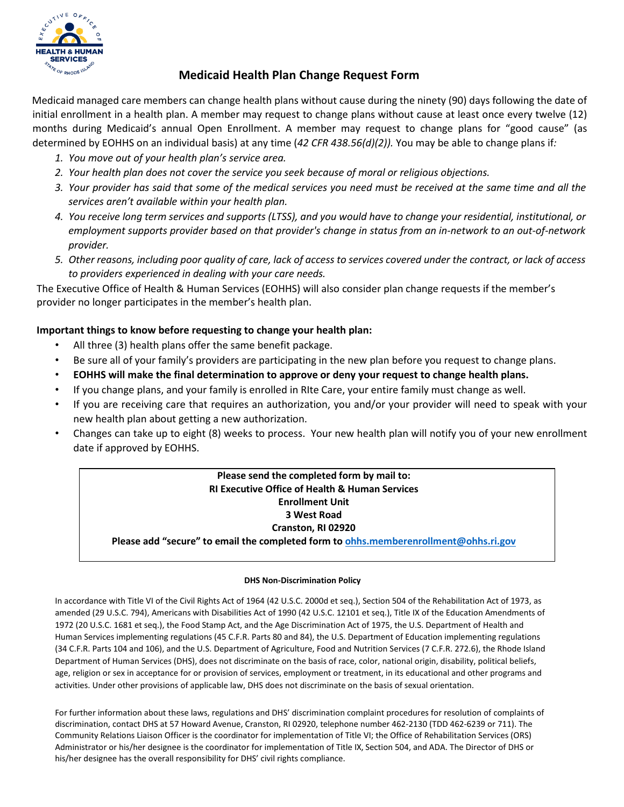

## **Medicaid Health Plan Change Request Form**

Medicaid managed care members can change health plans without cause during the ninety (90) days following the date of initial enrollment in a health plan. A member may request to change plans without cause at least once every twelve (12) months during Medicaid's annual Open Enrollment. A member may request to change plans for "good cause" (as determined by EOHHS on an individual basis) at any time (*42 CFR 438.56(d)(2)).* You may be able to change plans if*:*

- *1. You move out of your health plan's service area.*
- *2. Your health plan does not cover the service you seek because of moral or religious objections.*
- 3. Your provider has said that some of the medical services you need must be received at the same time and all the *services aren't available within your health plan.*
- *4. You receive long term services and supports (LTSS), and you would have to change your residential, institutional, or employment supports provider based on that provider's change in status from an in-network to an out-of-network provider.*
- 5. Other reasons, including poor quality of care, lack of access to services covered under the contract, or lack of access *to providers experienced in dealing with your care needs.*

The Executive Office of Health & Human Services (EOHHS) will also consider plan change requests if the member's provider no longer participates in the member's health plan.

## **Important things to know before requesting to change your health plan:**

- All three (3) health plans offer the same benefit package.
- Be sure all of your family's providers are participating in the new plan before you request to change plans.
- **EOHHS will make the final determination to approve or deny your request to change health plans.**
- If you change plans, and your family is enrolled in RIte Care, your entire family must change as well.
- If you are receiving care that requires an authorization, you and/or your provider will need to speak with your new health plan about getting a new authorization.
- Changes can take up to eight (8) weeks to process. Your new health plan will notify you of your new enrollment date if approved by EOHHS.

### **Please send the completed form by mail to: RI Executive Office of Health & Human Services Enrollment Unit 3 West Road Cranston, RI 02920**

**Please add "secure" to email the completed form t[o ohhs.memberenrollment@ohhs.ri.gov](mailto:ohhs.memberenrollment@ohhs.ri.gov)**

#### **DHS Non-Discrimination Policy**

In accordance with Title VI of the Civil Rights Act of 1964 (42 U.S.C. 2000d et seq.), Section 504 of the Rehabilitation Act of 1973, as amended (29 U.S.C. 794), Americans with Disabilities Act of 1990 (42 U.S.C. 12101 et seq.), Title IX of the Education Amendments of 1972 (20 U.S.C. 1681 et seq.), the Food Stamp Act, and the Age Discrimination Act of 1975, the U.S. Department of Health and Human Services implementing regulations (45 C.F.R. Parts 80 and 84), the U.S. Department of Education implementing regulations (34 C.F.R. Parts 104 and 106), and the U.S. Department of Agriculture, Food and Nutrition Services (7 C.F.R. 272.6), the Rhode Island Department of Human Services (DHS), does not discriminate on the basis of race, color, national origin, disability, political beliefs, age, religion or sex in acceptance for or provision of services, employment or treatment, in its educational and other programs and activities. Under other provisions of applicable law, DHS does not discriminate on the basis of sexual orientation.

For further information about these laws, regulations and DHS' discrimination complaint procedures for resolution of complaints of discrimination, contact DHS at 57 Howard Avenue, Cranston, RI 02920, telephone number 462-2130 (TDD 462-6239 or 711). The Community Relations Liaison Officer is the coordinator for implementation of Title VI; the Office of Rehabilitation Services (ORS) Administrator or his/her designee is the coordinator for implementation of Title IX, Section 504, and ADA. The Director of DHS or his/her designee has the overall responsibility for DHS' civil rights compliance.